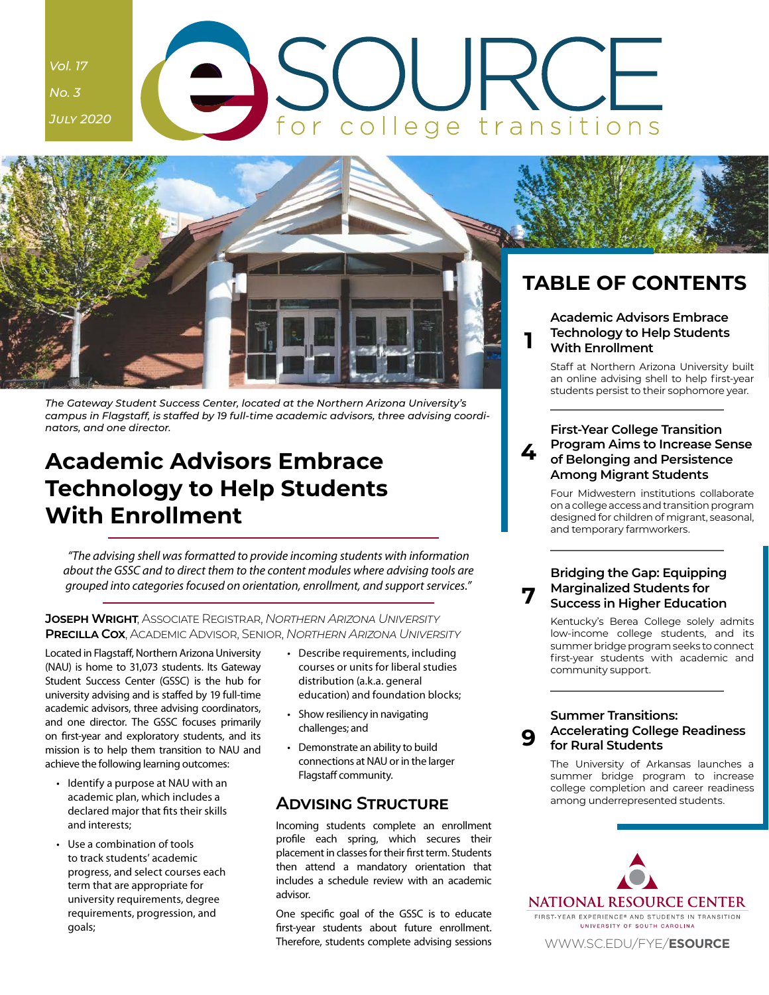# <span id="page-0-0"></span>*Vol. 17 No. 3* for college transitions *July 2020*



*The Gateway Student Success Center, located at the Northern Arizona University's campus in Flagstaff, is staffed by 19 full-time academic advisors, three advising coordinators, and one director.*

### **Academic Advisors Embrace Technology to Help Students With Enrollment**

*"The advising shell was formatted to provide incoming students with information about the GSSC and to direct them to the content modules where advising tools are grouped into categories focused on orientation, enrollment, and support services."*

#### **Joseph Wright**, Associate Registrar, *Northern Arizona University* **Precilla Cox**, Academic Advisor, Senior, *Northern Arizona University*

Located in Flagstaff, Northern Arizona University (NAU) is home to 31,073 students. Its Gateway Student Success Center (GSSC) is the hub for university advising and is staffed by 19 full-time academic advisors, three advising coordinators, and one director. The GSSC focuses primarily on first-year and exploratory students, and its mission is to help them transition to NAU and achieve the following learning outcomes:

- Identify a purpose at NAU with an academic plan, which includes a declared major that fits their skills and interests;
- Use a combination of tools to track students' academic progress, and select courses each term that are appropriate for university requirements, degree requirements, progression, and goals;
- Describe requirements, including courses or units for liberal studies distribution (a.k.a. general education) and foundation blocks;
- Show resiliency in navigating challenges; and
- Demonstrate an ability to build connections at NAU or in the larger Flagstaff community.

### **Advising Structure**

Incoming students complete an enrollment profile each spring, which secures their placement in classes for their first term. Students then attend a mandatory orientation that includes a schedule review with an academic advisor.

One specific goal of the GSSC is to educate first-year students about future enrollment. Therefore, students complete advising sessions

students persist to their sophomore year.

#### **4 First-Year College Transition [Program Aims to Increase Sense](#page-3-0)  of Belonging and Persistence Among Migrant Students**

Four Midwestern institutions collaborate on a college access and transition program designed for children of migrant, seasonal, and temporary farmworkers.

#### **[Bridging the Gap: Equipping](#page-6-0)  Marginalized Students for Success in Higher Education**

**7**

**9**

Kentucky's Berea College solely admits low-income college students, and its summer bridge program seeks to connect first-year students with academic and community support.

#### **Summer Transitions: [Accelerating College Readiness](#page-8-0)  for Rural Students**

The University of Arkansas launches a summer bridge program to increase college completion and career readiness among underrepresented students.

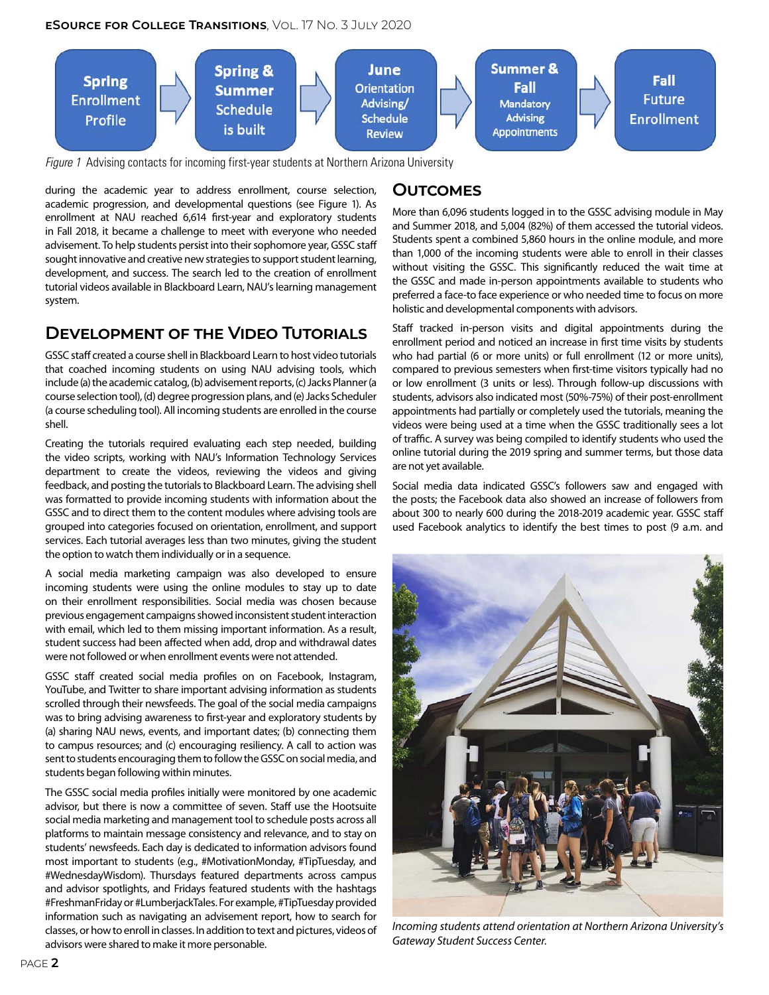

*Figure 1* Advising contacts for incoming first-year students at Northern Arizona University

during the academic year to address enrollment, course selection, academic progression, and developmental questions (see Figure 1). As enrollment at NAU reached 6,614 first-year and exploratory students in Fall 2018, it became a challenge to meet with everyone who needed advisement. To help students persist into their sophomore year, GSSC staff sought innovative and creative new strategies to support student learning, development, and success. The search led to the creation of enrollment tutorial videos available in Blackboard Learn, NAU's learning management system.

### **Development of the Video Tutorials**

GSSC staff created a course shell in Blackboard Learn to host video tutorials that coached incoming students on using NAU advising tools, which include (a) the academic catalog, (b) advisement reports, (c) Jacks Planner (a course selection tool), (d) degree progression plans, and (e) Jacks Scheduler (a course scheduling tool). All incoming students are enrolled in the course shell.

Creating the tutorials required evaluating each step needed, building the video scripts, working with NAU's Information Technology Services department to create the videos, reviewing the videos and giving feedback, and posting the tutorials to Blackboard Learn. The advising shell was formatted to provide incoming students with information about the GSSC and to direct them to the content modules where advising tools are grouped into categories focused on orientation, enrollment, and support services. Each tutorial averages less than two minutes, giving the student the option to watch them individually or in a sequence.

A social media marketing campaign was also developed to ensure incoming students were using the online modules to stay up to date on their enrollment responsibilities. Social media was chosen because previous engagement campaigns showed inconsistent student interaction with email, which led to them missing important information. As a result, student success had been affected when add, drop and withdrawal dates were not followed or when enrollment events were not attended.

GSSC staff created social media profiles on on Facebook, Instagram, YouTube, and Twitter to share important advising information as students scrolled through their newsfeeds. The goal of the social media campaigns was to bring advising awareness to first-year and exploratory students by (a) sharing NAU news, events, and important dates; (b) connecting them to campus resources; and (c) encouraging resiliency. A call to action was sent to students encouraging them to follow the GSSC on social media, and students began following within minutes.

The GSSC social media profiles initially were monitored by one academic advisor, but there is now a committee of seven. Staff use the Hootsuite social media marketing and management tool to schedule posts across all platforms to maintain message consistency and relevance, and to stay on students' newsfeeds. Each day is dedicated to information advisors found most important to students (e.g., #MotivationMonday, #TipTuesday, and #WednesdayWisdom). Thursdays featured departments across campus and advisor spotlights, and Fridays featured students with the hashtags #FreshmanFriday or #LumberjackTales. For example, #TipTuesday provided information such as navigating an advisement report, how to search for classes, or how to enroll in classes. In addition to text and pictures, videos of advisors were shared to make it more personable.

### **Outcomes**

More than 6,096 students logged in to the GSSC advising module in May and Summer 2018, and 5,004 (82%) of them accessed the tutorial videos. Students spent a combined 5,860 hours in the online module, and more than 1,000 of the incoming students were able to enroll in their classes without visiting the GSSC. This significantly reduced the wait time at the GSSC and made in-person appointments available to students who preferred a face-to face experience or who needed time to focus on more holistic and developmental components with advisors.

Staff tracked in-person visits and digital appointments during the enrollment period and noticed an increase in first time visits by students who had partial (6 or more units) or full enrollment (12 or more units), compared to previous semesters when first-time visitors typically had no or low enrollment (3 units or less). Through follow-up discussions with students, advisors also indicated most (50%-75%) of their post-enrollment appointments had partially or completely used the tutorials, meaning the videos were being used at a time when the GSSC traditionally sees a lot of traffic. A survey was being compiled to identify students who used the online tutorial during the 2019 spring and summer terms, but those data are not yet available.

Social media data indicated GSSC's followers saw and engaged with the posts; the Facebook data also showed an increase of followers from about 300 to nearly 600 during the 2018-2019 academic year. GSSC staff used Facebook analytics to identify the best times to post (9 a.m. and



*Incoming students attend orientation at Northern Arizona University's Gateway Student Success Center.*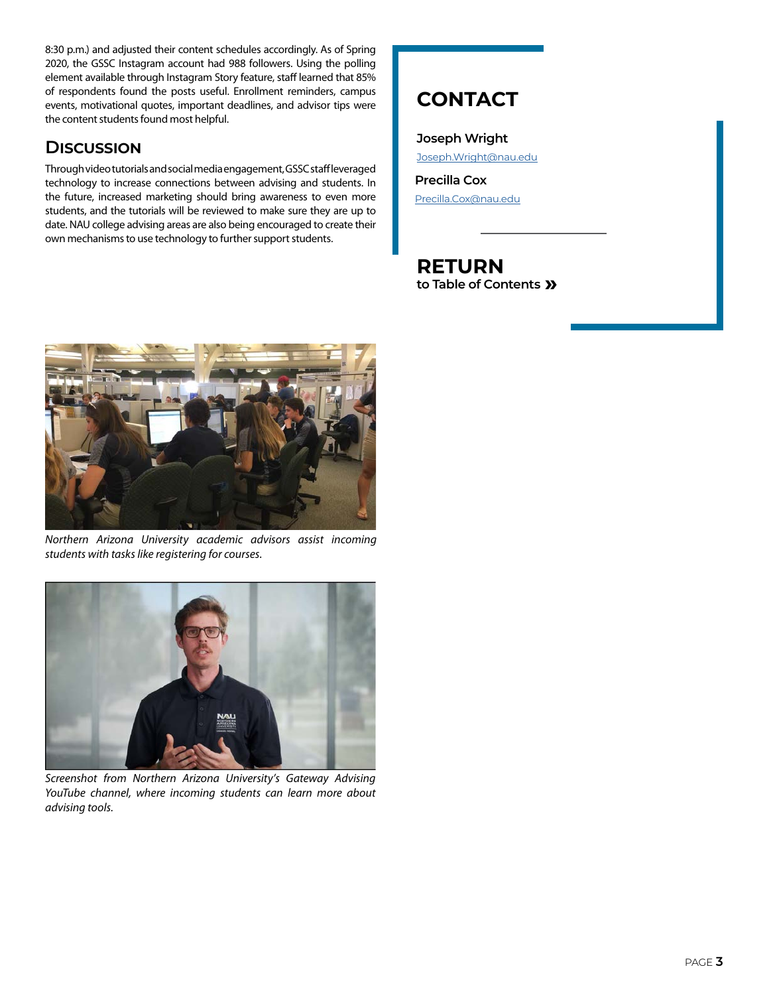8:30 p.m.) and adjusted their content schedules accordingly. As of Spring 2020, the GSSC Instagram account had 988 followers. Using the polling element available through Instagram Story feature, staff learned that 85% of respondents found the posts useful. Enrollment reminders, campus events, motivational quotes, important deadlines, and advisor tips were the content students found most helpful.

### **Discussion**

Through video tutorials and social media engagement, GSSC staff leveraged technology to increase connections between advising and students. In the future, increased marketing should bring awareness to even more students, and the tutorials will be reviewed to make sure they are up to date. NAU college advising areas are also being encouraged to create their own mechanisms to use technology to further support students.

### **CONTACT**

**Joseph Wright** [Joseph.Wright@nau.edu](mailto:Joseph.Wright%20%40nau.edu?subject=E-Source%2017.3)

**Precilla Cox** [Precilla.Cox@nau.edu](mailto:Precilla.Cox%40nau.edu?subject=E-Source%2017.3)



*Northern Arizona University academic advisors assist incoming students with tasks like registering for courses.*



*Screenshot from Northern Arizona University's Gateway Advising YouTube channel, where incoming students can learn more about advising tools.*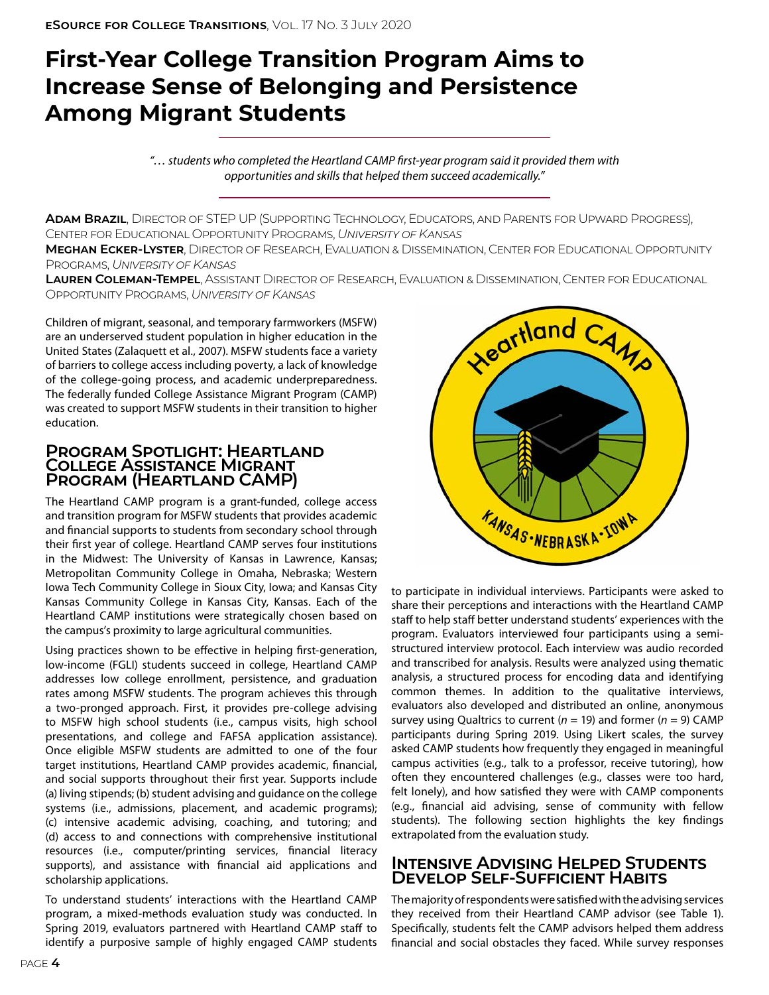## <span id="page-3-0"></span>**First-Year College Transition Program Aims to Increase Sense of Belonging and Persistence Among Migrant Students**

*"… students who completed the Heartland CAMP first-year program said it provided them with opportunities and skills that helped them succeed academically."*

**Adam Brazil**, Director of STEP UP (Supporting Technology, Educators, and Parents for Upward Progress), Center for Educational Opportunity Programs, *University of Kansas*

**Meghan Ecker-Lyster**, Director of Research, Evaluation & Dissemination, Center for Educational Opportunity Programs, *University of Kansas*

**Lauren Coleman-Tempel**, Assistant Director of Research, Evaluation & Dissemination, Center for Educational Opportunity Programs, *University of Kansas*

Children of migrant, seasonal, and temporary farmworkers (MSFW) are an underserved student population in higher education in the United States (Zalaquett et al., 2007). MSFW students face a variety of barriers to college access including poverty, a lack of knowledge of the college-going process, and academic underpreparedness. The federally funded College Assistance Migrant Program (CAMP) was created to support MSFW students in their transition to higher education.

### **Program Spotlight: Heartland College Assistance Migrant Program (Heartland CAMP)**

The Heartland CAMP program is a grant-funded, college access and transition program for MSFW students that provides academic and financial supports to students from secondary school through their first year of college. Heartland CAMP serves four institutions in the Midwest: The University of Kansas in Lawrence, Kansas; Metropolitan Community College in Omaha, Nebraska; Western Iowa Tech Community College in Sioux City, Iowa; and Kansas City Kansas Community College in Kansas City, Kansas. Each of the Heartland CAMP institutions were strategically chosen based on the campus's proximity to large agricultural communities.

Using practices shown to be effective in helping first-generation, low-income (FGLI) students succeed in college, Heartland CAMP addresses low college enrollment, persistence, and graduation rates among MSFW students. The program achieves this through a two-pronged approach. First, it provides pre-college advising to MSFW high school students (i.e., campus visits, high school presentations, and college and FAFSA application assistance). Once eligible MSFW students are admitted to one of the four target institutions, Heartland CAMP provides academic, financial, and social supports throughout their first year. Supports include (a) living stipends; (b) student advising and guidance on the college systems (i.e., admissions, placement, and academic programs); (c) intensive academic advising, coaching, and tutoring; and (d) access to and connections with comprehensive institutional resources (i.e., computer/printing services, financial literacy supports), and assistance with financial aid applications and scholarship applications.

To understand students' interactions with the Heartland CAMP program, a mixed-methods evaluation study was conducted. In Spring 2019, evaluators partnered with Heartland CAMP staff to identify a purposive sample of highly engaged CAMP students



to participate in individual interviews. Participants were asked to share their perceptions and interactions with the Heartland CAMP staff to help staff better understand students' experiences with the program. Evaluators interviewed four participants using a semistructured interview protocol. Each interview was audio recorded and transcribed for analysis. Results were analyzed using thematic analysis, a structured process for encoding data and identifying common themes. In addition to the qualitative interviews, evaluators also developed and distributed an online, anonymous survey using Qualtrics to current (*n* = 19) and former (*n* = 9) CAMP participants during Spring 2019. Using Likert scales, the survey asked CAMP students how frequently they engaged in meaningful campus activities (e.g., talk to a professor, receive tutoring), how often they encountered challenges (e.g., classes were too hard, felt lonely), and how satisfied they were with CAMP components (e.g., financial aid advising, sense of community with fellow students). The following section highlights the key findings extrapolated from the evaluation study.

### **Intensive Advising Helped Students Develop Self-Sufficient Habits**

The majority of respondents were satisfied with the advising services they received from their Heartland CAMP advisor (see Table 1). Specifically, students felt the CAMP advisors helped them address financial and social obstacles they faced. While survey responses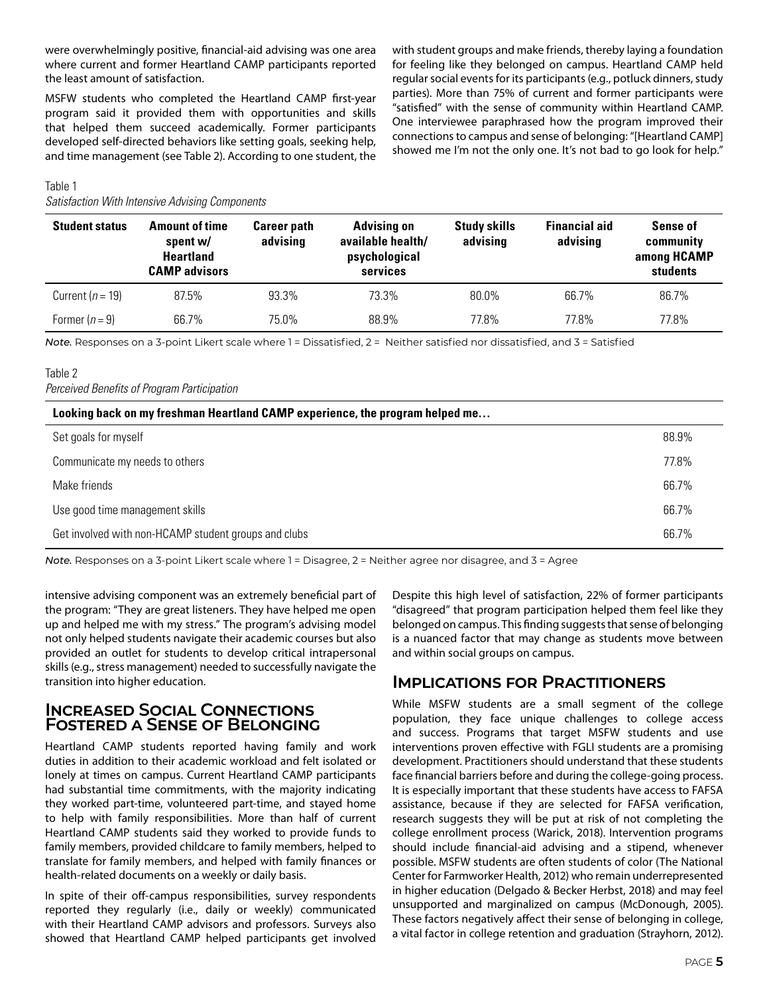were overwhelmingly positive, financial-aid advising was one area where current and former Heartland CAMP participants reported the least amount of satisfaction.

MSFW students who completed the Heartland CAMP first-year program said it provided them with opportunities and skills that helped them succeed academically. Former participants developed self-directed behaviors like setting goals, seeking help, and time management (see Table 2). According to one student, the with student groups and make friends, thereby laying a foundation for feeling like they belonged on campus. Heartland CAMP held regular social events for its participants (e.g., potluck dinners, study parties). More than 75% of current and former participants were "satisfied" with the sense of community within Heartland CAMP. One interviewee paraphrased how the program improved their connections to campus and sense of belonging: "[Heartland CAMP] showed me I'm not the only one. It's not bad to go look for help."

#### Table 1

*Satisfaction With Intensive Advising Components*

| <b>Student status</b> | <b>Amount of time</b><br>spent w/<br><b>Heartland</b><br><b>CAMP advisors</b> | <b>Career path</b><br>advising | <b>Advising on</b><br>available health/<br>psychological<br>services | <b>Study skills</b><br>advising | <b>Financial aid</b><br>advising | <b>Sense of</b><br>community<br>among HCAMP<br>students |
|-----------------------|-------------------------------------------------------------------------------|--------------------------------|----------------------------------------------------------------------|---------------------------------|----------------------------------|---------------------------------------------------------|
| Current ( $n = 19$ )  | 87.5%                                                                         | 93.3%                          | 73.3%                                                                | 80.0%                           | 66.7%                            | 86.7%                                                   |
| Former $(n=9)$        | 66.7%                                                                         | 75.0%                          | 88.9%                                                                | 77.8%                           | 77.8%                            | 77.8%                                                   |

*Note.* Responses on a 3-point Likert scale where 1 = Dissatisfied, 2 = Neither satisfied nor dissatisfied, and 3 = Satisfied

### Table 2

*Perceived Benefits of Program Participation*

#### **Looking back on my freshman Heartland CAMP experience, the program helped me…**

| Set goals for myself                                 | 88.9% |
|------------------------------------------------------|-------|
| Communicate my needs to others                       | 77.8% |
| Make friends                                         | 66.7% |
| Use good time management skills                      | 66.7% |
| Get involved with non-HCAMP student groups and clubs | 66.7% |

*Note.* Responses on a 3-point Likert scale where 1 = Disagree, 2 = Neither agree nor disagree, and 3 = Agree

intensive advising component was an extremely beneficial part of the program: "They are great listeners. They have helped me open up and helped me with my stress." The program's advising model not only helped students navigate their academic courses but also provided an outlet for students to develop critical intrapersonal skills (e.g., stress management) needed to successfully navigate the transition into higher education.

### **Increased Social Connections Fostered a Sense of Belonging**

Heartland CAMP students reported having family and work duties in addition to their academic workload and felt isolated or lonely at times on campus. Current Heartland CAMP participants had substantial time commitments, with the majority indicating they worked part-time, volunteered part-time, and stayed home to help with family responsibilities. More than half of current Heartland CAMP students said they worked to provide funds to family members, provided childcare to family members, helped to translate for family members, and helped with family finances or health-related documents on a weekly or daily basis.

In spite of their off-campus responsibilities, survey respondents reported they regularly (i.e., daily or weekly) communicated with their Heartland CAMP advisors and professors. Surveys also showed that Heartland CAMP helped participants get involved Despite this high level of satisfaction, 22% of former participants "disagreed" that program participation helped them feel like they belonged on campus. This finding suggests that sense of belonging is a nuanced factor that may change as students move between and within social groups on campus.

### **Implications for Practitioners**

While MSFW students are a small segment of the college population, they face unique challenges to college access and success. Programs that target MSFW students and use interventions proven effective with FGLI students are a promising development. Practitioners should understand that these students face financial barriers before and during the college-going process. It is especially important that these students have access to FAFSA assistance, because if they are selected for FAFSA verification, research suggests they will be put at risk of not completing the college enrollment process (Warick, 2018). Intervention programs should include financial-aid advising and a stipend, whenever possible. MSFW students are often students of color (The National Center for Farmworker Health, 2012) who remain underrepresented in higher education (Delgado & Becker Herbst, 2018) and may feel unsupported and marginalized on campus (McDonough, 2005). These factors negatively affect their sense of belonging in college, a vital factor in college retention and graduation (Strayhorn, 2012).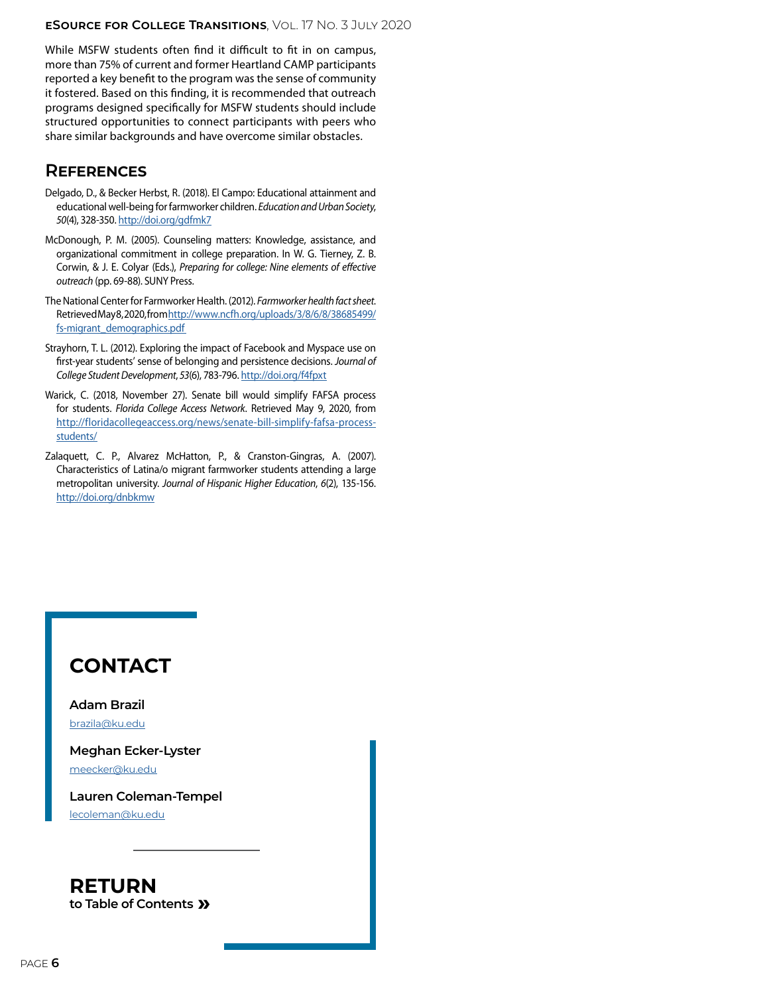While MSFW students often find it difficult to fit in on campus, more than 75% of current and former Heartland CAMP participants reported a key benefit to the program was the sense of community it fostered. Based on this finding, it is recommended that outreach programs designed specifically for MSFW students should include structured opportunities to connect participants with peers who share similar backgrounds and have overcome similar obstacles.

### **References**

- Delgado, D., & Becker Herbst, R. (2018). El Campo: Educational attainment and educational well-being for farmworker children. *Education and Urban Society*, *50*(4), 328-350. [http://doi.org/gdfmk7](https://journals.sagepub.com/doi/10.1177/0013124517713247)
- McDonough, P. M. (2005). Counseling matters: Knowledge, assistance, and organizational commitment in college preparation. In W. G. Tierney, Z. B. Corwin, & J. E. Colyar (Eds.), *Preparing for college: Nine elements of effective outreach* (pp. 69-88). SUNY Press.
- The National Center for Farmworker Health. (2012). *Farmworker health fact sheet*. Retrieved May 8, 2020, from [http://www.ncfh.org/uploads/3/8/6/8/38685499/](http://www.ncfh.org/uploads/3/8/6/8/38685499/fs-migrant_demographics.pdf) fs-migrant\_demographics.pdf
- Strayhorn, T. L. (2012). Exploring the impact of Facebook and Myspace use on first-year students' sense of belonging and persistence decisions. *Journal of College Student Development*, *53*(6), 783-796. [http://doi.org/f4fpxt](https://muse.jhu.edu/article/490814)
- Warick, C. (2018, November 27). Senate bill would simplify FAFSA process for students. *Florida College Access Network*. Retrieved May 9, 2020, from [http://floridacollegeaccess.org/news/senate-bill-simplify-fafsa-process](http://floridacollegeaccess.org/news/senate-bill-simplify-fafsa-process-students/)[students/](http://floridacollegeaccess.org/news/senate-bill-simplify-fafsa-process-students/)
- Zalaquett, C. P., Alvarez McHatton, P., & Cranston-Gingras, A. (2007). Characteristics of Latina/o migrant farmworker students attending a large metropolitan university. *Journal of Hispanic Higher Education*, *6*(2), 135-156. [http://doi.org/dnbkmw](https://journals.sagepub.com/doi/10.1177/1538192707299186)

### **CONTACT**

**Adam Brazil** [brazila@ku.edu](mailto:brazila%40ku.edu?subject=E-Source%2017.3)

**Meghan Ecker-Lyster** [meecker@ku.edu](mailto:meecker%40ku.edu?subject=E-Source%2017.3)

**Lauren Coleman-Tempel** [lecoleman@ku.edu](mailto:lecoleman%40ku.edu?subject=E-Source%2017.3)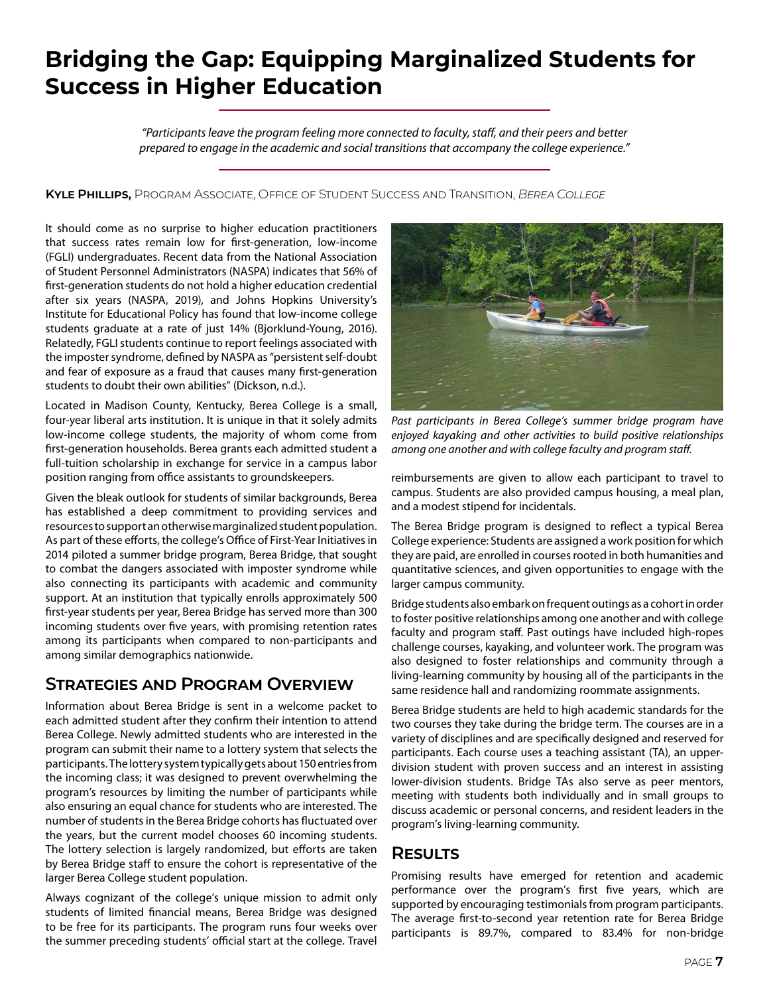### <span id="page-6-0"></span>**Bridging the Gap: Equipping Marginalized Students for Success in Higher Education**

*"Participants leave the program feeling more connected to faculty, staff, and their peers and better prepared to engage in the academic and social transitions that accompany the college experience."*

**Kyle Phillips,** Program Associate, Office of Student Success and Transition, *Berea College*

It should come as no surprise to higher education practitioners that success rates remain low for first-generation, low-income (FGLI) undergraduates. Recent data from the National Association of Student Personnel Administrators (NASPA) indicates that 56% of first-generation students do not hold a higher education credential after six years (NASPA, 2019), and Johns Hopkins University's Institute for Educational Policy has found that low-income college students graduate at a rate of just 14% (Bjorklund-Young, 2016). Relatedly, FGLI students continue to report feelings associated with the imposter syndrome, defined by NASPA as "persistent self-doubt and fear of exposure as a fraud that causes many first-generation students to doubt their own abilities" (Dickson, n.d.).

Located in Madison County, Kentucky, Berea College is a small, four-year liberal arts institution. It is unique in that it solely admits low-income college students, the majority of whom come from first-generation households. Berea grants each admitted student a full-tuition scholarship in exchange for service in a campus labor position ranging from office assistants to groundskeepers.

Given the bleak outlook for students of similar backgrounds, Berea has established a deep commitment to providing services and resources to support an otherwise marginalized student population. As part of these efforts, the college's Office of First-Year Initiatives in 2014 piloted a summer bridge program, Berea Bridge, that sought to combat the dangers associated with imposter syndrome while also connecting its participants with academic and community support. At an institution that typically enrolls approximately 500 first-year students per year, Berea Bridge has served more than 300 incoming students over five years, with promising retention rates among its participants when compared to non-participants and among similar demographics nationwide.

### **Strategies and Program Overview**

Information about Berea Bridge is sent in a welcome packet to each admitted student after they confirm their intention to attend Berea College. Newly admitted students who are interested in the program can submit their name to a lottery system that selects the participants. The lottery system typically gets about 150 entries from the incoming class; it was designed to prevent overwhelming the program's resources by limiting the number of participants while also ensuring an equal chance for students who are interested. The number of students in the Berea Bridge cohorts has fluctuated over the years, but the current model chooses 60 incoming students. The lottery selection is largely randomized, but efforts are taken by Berea Bridge staff to ensure the cohort is representative of the larger Berea College student population.

Always cognizant of the college's unique mission to admit only students of limited financial means, Berea Bridge was designed to be free for its participants. The program runs four weeks over the summer preceding students' official start at the college. Travel



*Past participants in Berea College's summer bridge program have enjoyed kayaking and other activities to build positive relationships among one another and with college faculty and program staff.*

reimbursements are given to allow each participant to travel to campus. Students are also provided campus housing, a meal plan, and a modest stipend for incidentals.

The Berea Bridge program is designed to reflect a typical Berea College experience: Students are assigned a work position for which they are paid, are enrolled in courses rooted in both humanities and quantitative sciences, and given opportunities to engage with the larger campus community.

Bridge students also embark on frequent outings as a cohort in order to foster positive relationships among one another and with college faculty and program staff. Past outings have included high-ropes challenge courses, kayaking, and volunteer work. The program was also designed to foster relationships and community through a living-learning community by housing all of the participants in the same residence hall and randomizing roommate assignments.

Berea Bridge students are held to high academic standards for the two courses they take during the bridge term. The courses are in a variety of disciplines and are specifically designed and reserved for participants. Each course uses a teaching assistant (TA), an upperdivision student with proven success and an interest in assisting lower-division students. Bridge TAs also serve as peer mentors, meeting with students both individually and in small groups to discuss academic or personal concerns, and resident leaders in the program's living-learning community.

### **Results**

Promising results have emerged for retention and academic performance over the program's first five years, which are supported by encouraging testimonials from program participants. The average first-to-second year retention rate for Berea Bridge participants is 89.7%, compared to 83.4% for non-bridge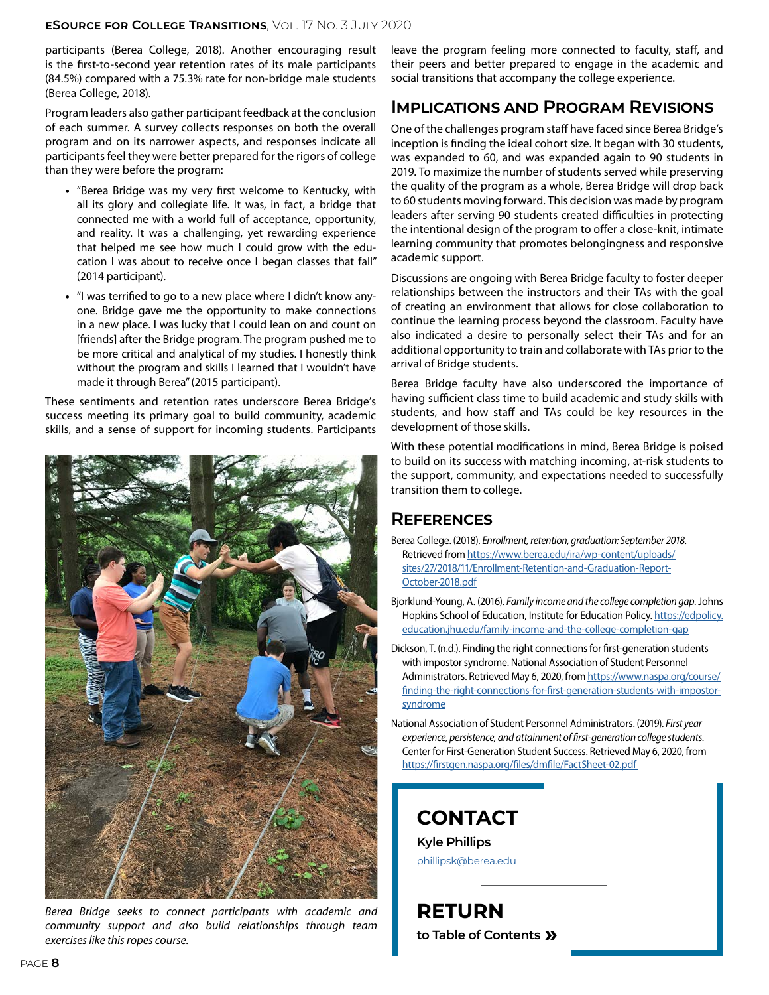participants (Berea College, 2018). Another encouraging result is the first-to-second year retention rates of its male participants (84.5%) compared with a 75.3% rate for non-bridge male students (Berea College, 2018).

Program leaders also gather participant feedback at the conclusion of each summer. A survey collects responses on both the overall program and on its narrower aspects, and responses indicate all participants feel they were better prepared for the rigors of college than they were before the program:

- **•** "Berea Bridge was my very first welcome to Kentucky, with all its glory and collegiate life. It was, in fact, a bridge that connected me with a world full of acceptance, opportunity, and reality. It was a challenging, yet rewarding experience that helped me see how much I could grow with the education I was about to receive once I began classes that fall" (2014 participant).
- **•** "I was terrified to go to a new place where I didn't know anyone. Bridge gave me the opportunity to make connections in a new place. I was lucky that I could lean on and count on [friends] after the Bridge program. The program pushed me to be more critical and analytical of my studies. I honestly think without the program and skills I learned that I wouldn't have made it through Berea" (2015 participant).

These sentiments and retention rates underscore Berea Bridge's success meeting its primary goal to build community, academic skills, and a sense of support for incoming students. Participants



*Berea Bridge seeks to connect participants with academic and community support and also build relationships through team exercises like this ropes course.*

leave the program feeling more connected to faculty, staff, and their peers and better prepared to engage in the academic and social transitions that accompany the college experience.

### **Implications and Program Revisions**

One of the challenges program staff have faced since Berea Bridge's inception is finding the ideal cohort size. It began with 30 students, was expanded to 60, and was expanded again to 90 students in 2019. To maximize the number of students served while preserving the quality of the program as a whole, Berea Bridge will drop back to 60 students moving forward. This decision was made by program leaders after serving 90 students created difficulties in protecting the intentional design of the program to offer a close-knit, intimate learning community that promotes belongingness and responsive academic support.

Discussions are ongoing with Berea Bridge faculty to foster deeper relationships between the instructors and their TAs with the goal of creating an environment that allows for close collaboration to continue the learning process beyond the classroom. Faculty have also indicated a desire to personally select their TAs and for an additional opportunity to train and collaborate with TAs prior to the arrival of Bridge students.

Berea Bridge faculty have also underscored the importance of having sufficient class time to build academic and study skills with students, and how staff and TAs could be key resources in the development of those skills.

With these potential modifications in mind, Berea Bridge is poised to build on its success with matching incoming, at-risk students to the support, community, and expectations needed to successfully transition them to college.

### **References**

- Berea College. (2018). *Enrollment, retention, graduation: September 2018.*  Retrieved from [https://www.berea.edu/ira/wp-content/uploads/](https://www.berea.edu/ira/wp-content/uploads/sites/27/2018/11/Enrollment-Retention-and-Graduation-Re) [sites/27/2018/11/Enrollment-Retention-and-Graduation-Report-](https://www.berea.edu/ira/wp-content/uploads/sites/27/2018/11/Enrollment-Retention-and-Graduation-Re)[October-2018.pdf](https://www.berea.edu/ira/wp-content/uploads/sites/27/2018/11/Enrollment-Retention-and-Graduation-Re)
- Bjorklund-Young, A. (2016). *Family income and the college completion gap*. Johns Hopkins School of Education, Institute for Education Policy. [https://edpolicy.](https://edpolicy.education.jhu.edu/family-income-and-the-college-completion-gap) [education.jhu.edu/family-income-and-the-college-completion-gap](https://edpolicy.education.jhu.edu/family-income-and-the-college-completion-gap)
- Dickson, T. (n.d.). Finding the right connections for first-generation students with impostor syndrome. National Association of Student Personnel Administrators. Retrieved May 6, 2020, from [https://www.naspa.org/course/](https://www.naspa.org/course/finding-the-right-connections-for-first-generation-students-with-impost) [finding-the-right-connections-for-first-generation-students-with-impostor](https://www.naspa.org/course/finding-the-right-connections-for-first-generation-students-with-impost)[syndrome](https://www.naspa.org/course/finding-the-right-connections-for-first-generation-students-with-impost)
- National Association of Student Personnel Administrators. (2019). *First year experience, persistence, and attainment of first-generation college students*. Center for First-Generation Student Success. Retrieved May 6, 2020, from [https://firstgen.naspa.org/files/dmfile/FactSheet-02.pdf](https://firstgen.naspa.org/files/dmfile/FactSheet-02.pdf )

### **CONTACT**

**Kyle Phillips** [phillipsk@berea.edu](mailto:phillipsk%40berea.edu?subject=E-Source%2017.3)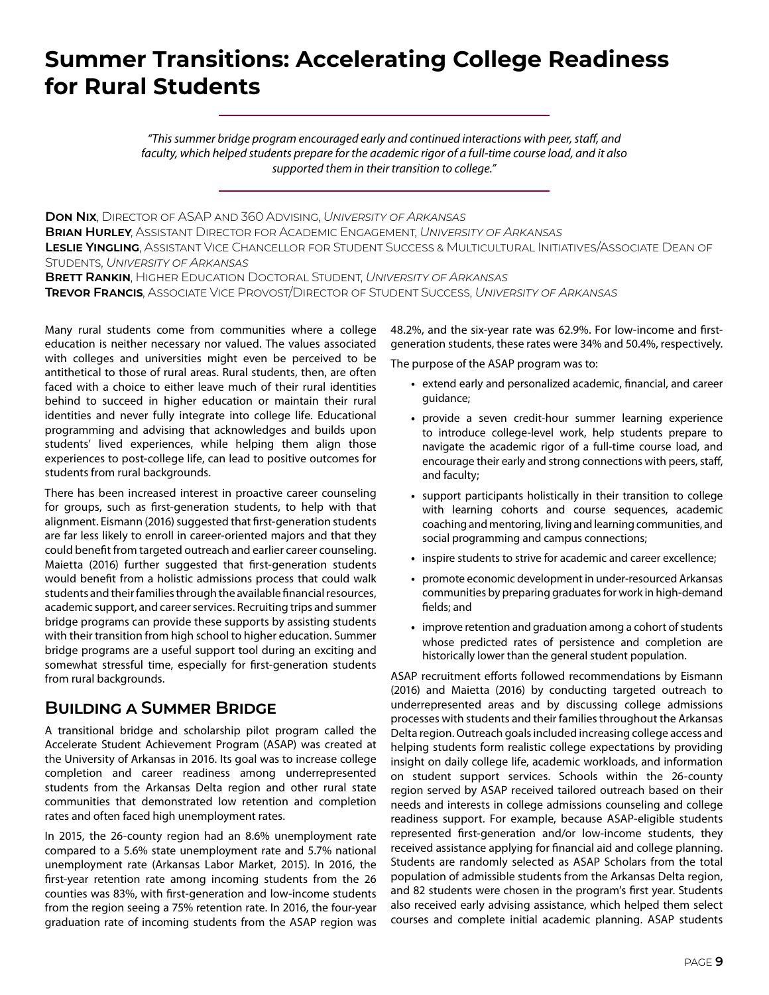### <span id="page-8-0"></span>**Summer Transitions: Accelerating College Readiness for Rural Students**

*"This summer bridge program encouraged early and continued interactions with peer, staff, and faculty, which helped students prepare for the academic rigor of a full-time course load, and it also supported them in their transition to college."*

**Don Nix**, Director of ASAP and 360 Advising, *University of Arkansas* **Brian Hurley**, Assistant Director for Academic Engagement, *University of Arkansas* **Leslie Yingling**, Assistant Vice Chancellor for Student Success & Multicultural Initiatives/Associate Dean of Students, *University of Arkansas* **Brett Rankin**, Higher Education Doctoral Student, *University of Arkansas*

**Trevor Francis**, Associate Vice Provost/Director of Student Success, *University of Arkansas*

Many rural students come from communities where a college education is neither necessary nor valued. The values associated with colleges and universities might even be perceived to be antithetical to those of rural areas. Rural students, then, are often faced with a choice to either leave much of their rural identities behind to succeed in higher education or maintain their rural identities and never fully integrate into college life. Educational programming and advising that acknowledges and builds upon students' lived experiences, while helping them align those experiences to post-college life, can lead to positive outcomes for students from rural backgrounds.

There has been increased interest in proactive career counseling for groups, such as first-generation students, to help with that alignment. Eismann (2016) suggested that first-generation students are far less likely to enroll in career-oriented majors and that they could benefit from targeted outreach and earlier career counseling. Maietta (2016) further suggested that first-generation students would benefit from a holistic admissions process that could walk students and their families through the available financial resources, academic support, and career services. Recruiting trips and summer bridge programs can provide these supports by assisting students with their transition from high school to higher education. Summer bridge programs are a useful support tool during an exciting and somewhat stressful time, especially for first-generation students from rural backgrounds.

### **Building a Summer Bridge**

A transitional bridge and scholarship pilot program called the Accelerate Student Achievement Program (ASAP) was created at the University of Arkansas in 2016. Its goal was to increase college completion and career readiness among underrepresented students from the Arkansas Delta region and other rural state communities that demonstrated low retention and completion rates and often faced high unemployment rates.

In 2015, the 26-county region had an 8.6% unemployment rate compared to a 5.6% state unemployment rate and 5.7% national unemployment rate (Arkansas Labor Market, 2015). In 2016, the first-year retention rate among incoming students from the 26 counties was 83%, with first-generation and low-income students from the region seeing a 75% retention rate. In 2016, the four-year graduation rate of incoming students from the ASAP region was

48.2%, and the six-year rate was 62.9%. For low-income and firstgeneration students, these rates were 34% and 50.4%, respectively.

The purpose of the ASAP program was to:

- **•** extend early and personalized academic, financial, and career guidance;
- **•** provide a seven credit-hour summer learning experience to introduce college-level work, help students prepare to navigate the academic rigor of a full-time course load, and encourage their early and strong connections with peers, staff, and faculty;
- **•** support participants holistically in their transition to college with learning cohorts and course sequences, academic coaching and mentoring, living and learning communities, and social programming and campus connections;
- **•** inspire students to strive for academic and career excellence;
- **•** promote economic development in under-resourced Arkansas communities by preparing graduates for work in high-demand fields; and
- **•** improve retention and graduation among a cohort of students whose predicted rates of persistence and completion are historically lower than the general student population.

ASAP recruitment efforts followed recommendations by Eismann (2016) and Maietta (2016) by conducting targeted outreach to underrepresented areas and by discussing college admissions processes with students and their families throughout the Arkansas Delta region. Outreach goals included increasing college access and helping students form realistic college expectations by providing insight on daily college life, academic workloads, and information on student support services. Schools within the 26-county region served by ASAP received tailored outreach based on their needs and interests in college admissions counseling and college readiness support. For example, because ASAP-eligible students represented first-generation and/or low-income students, they received assistance applying for financial aid and college planning. Students are randomly selected as ASAP Scholars from the total population of admissible students from the Arkansas Delta region, and 82 students were chosen in the program's first year. Students also received early advising assistance, which helped them select courses and complete initial academic planning. ASAP students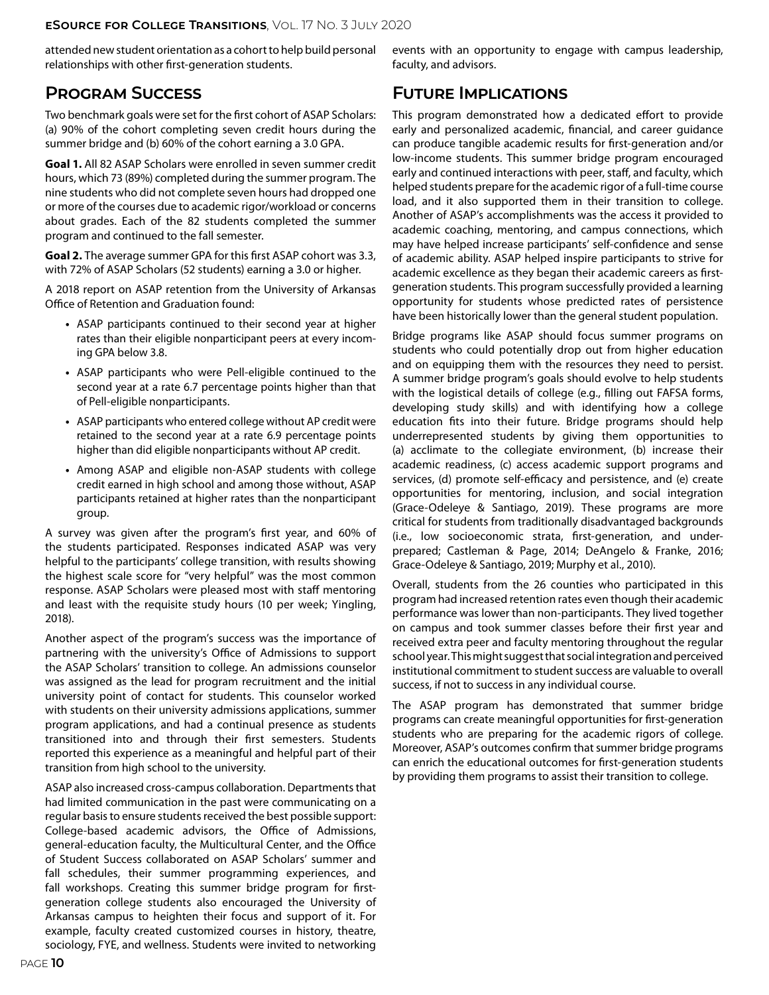attended new student orientation as a cohort to help build personal relationships with other first-generation students.

### **Program Success**

Two benchmark goals were set for the first cohort of ASAP Scholars: (a) 90% of the cohort completing seven credit hours during the summer bridge and (b) 60% of the cohort earning a 3.0 GPA.

**Goal 1.** All 82 ASAP Scholars were enrolled in seven summer credit hours, which 73 (89%) completed during the summer program. The nine students who did not complete seven hours had dropped one or more of the courses due to academic rigor/workload or concerns about grades. Each of the 82 students completed the summer program and continued to the fall semester.

**Goal 2.** The average summer GPA for this first ASAP cohort was 3.3, with 72% of ASAP Scholars (52 students) earning a 3.0 or higher.

A 2018 report on ASAP retention from the University of Arkansas Office of Retention and Graduation found:

- **•** ASAP participants continued to their second year at higher rates than their eligible nonparticipant peers at every incoming GPA below 3.8.
- **•** ASAP participants who were Pell-eligible continued to the second year at a rate 6.7 percentage points higher than that of Pell-eligible nonparticipants.
- **•** ASAP participants who entered college without AP credit were retained to the second year at a rate 6.9 percentage points higher than did eligible nonparticipants without AP credit.
- **•** Among ASAP and eligible non-ASAP students with college credit earned in high school and among those without, ASAP participants retained at higher rates than the nonparticipant group.

A survey was given after the program's first year, and 60% of the students participated. Responses indicated ASAP was very helpful to the participants' college transition, with results showing the highest scale score for "very helpful" was the most common response. ASAP Scholars were pleased most with staff mentoring and least with the requisite study hours (10 per week; Yingling, 2018).

Another aspect of the program's success was the importance of partnering with the university's Office of Admissions to support the ASAP Scholars' transition to college. An admissions counselor was assigned as the lead for program recruitment and the initial university point of contact for students. This counselor worked with students on their university admissions applications, summer program applications, and had a continual presence as students transitioned into and through their first semesters. Students reported this experience as a meaningful and helpful part of their transition from high school to the university.

ASAP also increased cross-campus collaboration. Departments that had limited communication in the past were communicating on a regular basis to ensure students received the best possible support: College-based academic advisors, the Office of Admissions, general-education faculty, the Multicultural Center, and the Office of Student Success collaborated on ASAP Scholars' summer and fall schedules, their summer programming experiences, and fall workshops. Creating this summer bridge program for firstgeneration college students also encouraged the University of Arkansas campus to heighten their focus and support of it. For example, faculty created customized courses in history, theatre, sociology, FYE, and wellness. Students were invited to networking

events with an opportunity to engage with campus leadership, faculty, and advisors.

### **Future Implications**

This program demonstrated how a dedicated effort to provide early and personalized academic, financial, and career guidance can produce tangible academic results for first-generation and/or low-income students. This summer bridge program encouraged early and continued interactions with peer, staff, and faculty, which helped students prepare for the academic rigor of a full-time course load, and it also supported them in their transition to college. Another of ASAP's accomplishments was the access it provided to academic coaching, mentoring, and campus connections, which may have helped increase participants' self-confidence and sense of academic ability. ASAP helped inspire participants to strive for academic excellence as they began their academic careers as firstgeneration students. This program successfully provided a learning opportunity for students whose predicted rates of persistence have been historically lower than the general student population.

Bridge programs like ASAP should focus summer programs on students who could potentially drop out from higher education and on equipping them with the resources they need to persist. A summer bridge program's goals should evolve to help students with the logistical details of college (e.g., filling out FAFSA forms, developing study skills) and with identifying how a college education fits into their future. Bridge programs should help underrepresented students by giving them opportunities to (a) acclimate to the collegiate environment, (b) increase their academic readiness, (c) access academic support programs and services, (d) promote self-efficacy and persistence, and (e) create opportunities for mentoring, inclusion, and social integration (Grace-Odeleye & Santiago, 2019). These programs are more critical for students from traditionally disadvantaged backgrounds (i.e., low socioeconomic strata, first-generation, and underprepared; Castleman & Page, 2014; DeAngelo & Franke, 2016; Grace-Odeleye & Santiago, 2019; Murphy et al., 2010).

Overall, students from the 26 counties who participated in this program had increased retention rates even though their academic performance was lower than non-participants. They lived together on campus and took summer classes before their first year and received extra peer and faculty mentoring throughout the regular school year. This might suggest that social integration and perceived institutional commitment to student success are valuable to overall success, if not to success in any individual course.

The ASAP program has demonstrated that summer bridge programs can create meaningful opportunities for first-generation students who are preparing for the academic rigors of college. Moreover, ASAP's outcomes confirm that summer bridge programs can enrich the educational outcomes for first-generation students by providing them programs to assist their transition to college.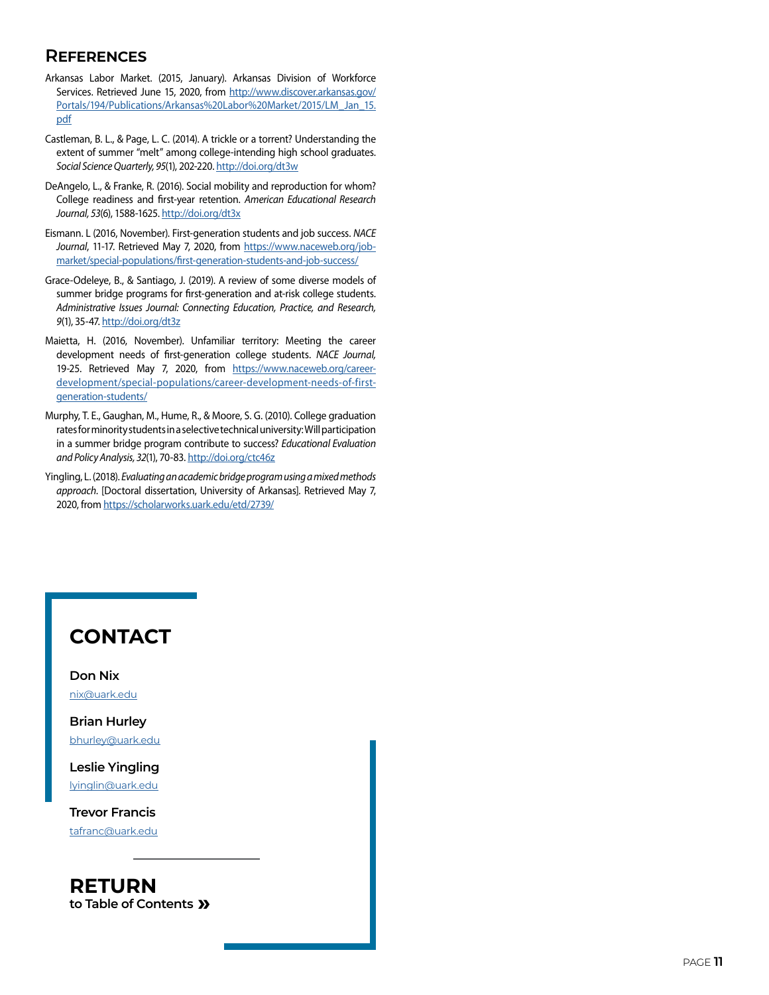### **References**

- Arkansas Labor Market. (2015, January). Arkansas Division of Workforce Services. Retrieved June 15, 2020, from [http://www.discover.arkansas.gov/](http://www.discover.arkansas.gov/Portals/194/Publications/Arkansas%20Labor%20Market/2015/LM_Jan_15.p) [Portals/194/Publications/Arkansas%20Labor%20Market/2015/LM\\_Jan\\_15.](http://www.discover.arkansas.gov/Portals/194/Publications/Arkansas%20Labor%20Market/2015/LM_Jan_15.p) [pdf](http://www.discover.arkansas.gov/Portals/194/Publications/Arkansas%20Labor%20Market/2015/LM_Jan_15.p)
- Castleman, B. L., & Page, L. C. (2014). A trickle or a torrent? Understanding the extent of summer "melt" among college-intending high school graduates. *Social Science Quarterly, 95*(1), 202-220.<http://doi.org/dt3w>
- DeAngelo, L., & Franke, R. (2016). Social mobility and reproduction for whom? College readiness and first-year retention. *American Educational Research Journal, 53*(6), 1588-1625.<http://doi.org/dt3x>
- Eismann. L (2016, November). First-generation students and job success. *NACE*  Journal, 11-17. Retrieved May 7, 2020, from [https://www.naceweb.org/job](https://www.naceweb.org/job-market/special-populations/first-generation-students-and-job-success/)[market/special-populations/first-generation-students-and-job-success/](https://www.naceweb.org/job-market/special-populations/first-generation-students-and-job-success/)
- Grace-Odeleye, B., & Santiago, J. (2019). A review of some diverse models of summer bridge programs for first-generation and at-risk college students. *Administrative Issues Journal: Connecting Education, Practice, and Research, 9*(1), 35-47.<http://doi.org/dt3z>
- Maietta, H. (2016, November). Unfamiliar territory: Meeting the career development needs of first-generation college students. *NACE Journal,*  19-25. Retrieved May 7, 2020, from [https://www.naceweb.org/career](https://www.naceweb.org/career-development/special-populations/career-development-needs-of-first-gen)[development/special-populations/career-development-needs-of-first](https://www.naceweb.org/career-development/special-populations/career-development-needs-of-first-gen)[generation-students/](https://www.naceweb.org/career-development/special-populations/career-development-needs-of-first-gen)
- Murphy, T. E., Gaughan, M., Hume, R., & Moore, S. G. (2010). College graduation rates for minority students in a selective technical university: Will participation in a summer bridge program contribute to success? *Educational Evaluation and Policy Analysis, 32*(1), 70-83. <http://doi.org/ctc46z>
- Yingling, L. (2018). *Evaluating an academic bridge program using a mixed methods approach*. [Doctoral dissertation, University of Arkansas]. Retrieved May 7, 2020, from<https://scholarworks.uark.edu/etd/2739/>

### **CONTACT**

**Don Nix** [nix@uark.edu](mailto:nix%40uark.edu?subject=E-Source%2017.3)

**Brian Hurley** [bhurley@uark.edu](mailto:bhurley%40uark.edu?subject=E-Source%2017.3)

**Leslie Yingling** [lyinglin@uark.edu](mailto:lyinglin%40uark.edu?subject=E-Source%2017.3)

**Trevor Francis** [tafranc@uark.edu](mailto:tafranc%40uark.edu?subject=E-Source%2017.3)